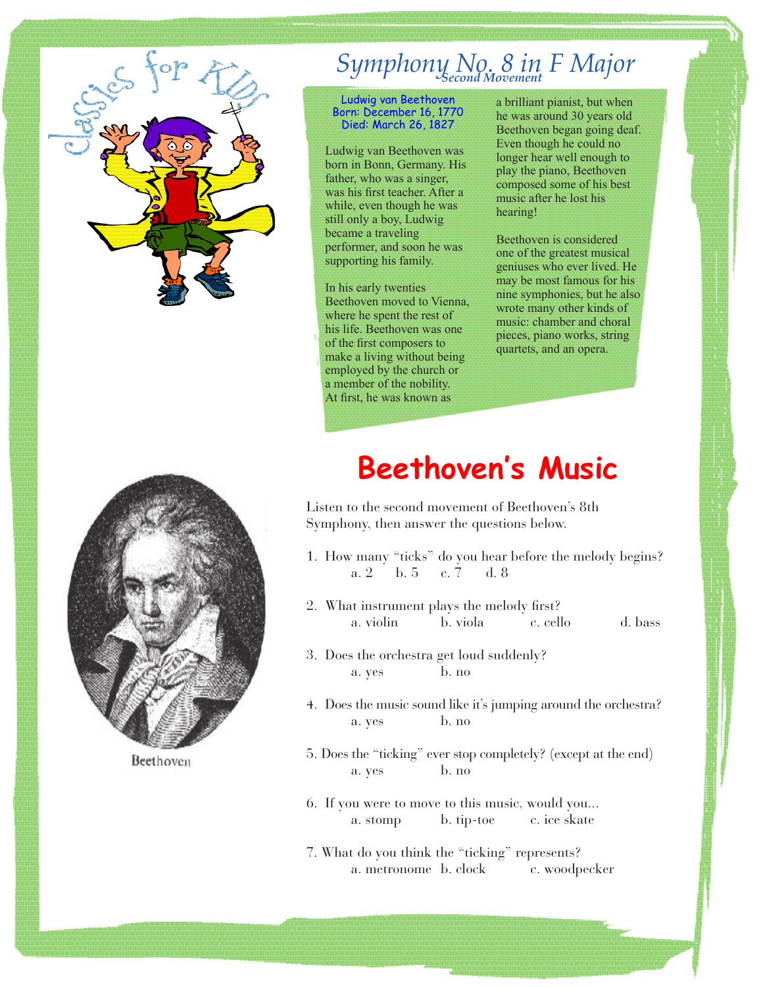

## *Symphony No. 8 in F Major Second Movement*

Ludwig van Beethoven Born: December 16, 1770 Died: March 26, 1827

Ludwig van Beethoven was born in Bonn, Germany. His father, who was a singer, was his first teacher. After a while, even though he was still only a boy, Ludwig became a traveling performer, and soon he was supporting his family.

In his early twenties Beethoven moved to Vienna, where he spent the rest of his life. Beethoven was one of the first composers to make a living without being employed by the church or a member of the nobility. At first, he was known as

a brilliant pianist, but when he was around 30 years old Beethoven began going deaf. Even though he could no longer hear well enough to play the piano, Beethoven composed some of his best music after he lost his hearing!

Beethoven is considered one of the greatest musical geniuses who ever lived. He may be most famous for his nine symphonies, but he also wrote many other kinds of music: chamber and choral pieces, piano works, string quartets, and an opera.



Beethoven

## **Beethoven's Music**

Listen to the second movement of Beethoven's 8th Symphony, then answer the questions below.

- 1. How many "ticks" do you hear before the melody begins? a. 2 b. 5 c. 7 d. 8
- 2. What instrument plays the melody first? a. violin b. viola c. cello d. bass
- 3. Does the orchestra get loud suddenly? a. yes b. no
- 4. Does the music sound like it's jumping around the orchestra? a. yes b. no
- 5. Does the "ticking" ever stop completely? (except at the end) a. yes b. no
- 6. If you were to move to this music, would you... a. stomp b. tip-toe c. ice skate
- 7. What do you think the "ticking" represents? a. metronome b. clock c. woodpecker